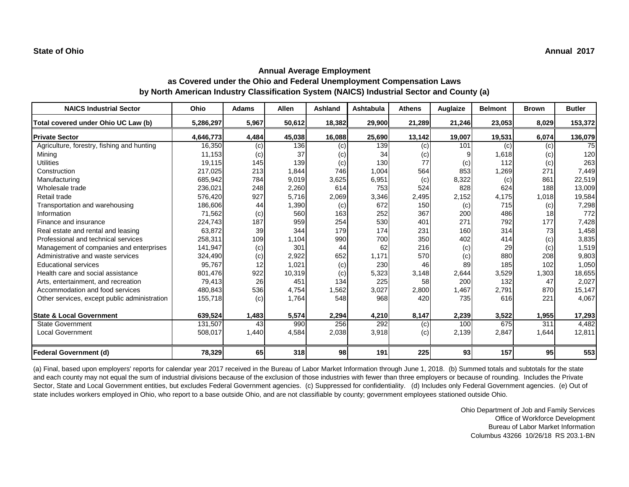| <b>NAICS Industrial Sector</b>               | Ohio      | <b>Adams</b> | <b>Allen</b> | <b>Ashland</b> | <b>Ashtabula</b> | <b>Athens</b> | Auglaize | <b>Belmont</b> | <b>Brown</b> | <b>Butler</b> |
|----------------------------------------------|-----------|--------------|--------------|----------------|------------------|---------------|----------|----------------|--------------|---------------|
| Total covered under Ohio UC Law (b)          | 5,286,297 | 5,967        | 50,612       | 18,382         | 29,900           | 21,289        | 21,246   | 23,053         | 8,029        | 153,372       |
| <b>Private Sector</b>                        | 4,646,773 | 4,484        | 45,038       | 16,088         | 25,690           | 13,142        | 19,007   | 19,531         | 6,074        | 136,079       |
| Agriculture, forestry, fishing and hunting   | 16,350    | (c)          | 136          | (c)            | 139              | (c)           | 101      | (c)            | (c)          | 75            |
| Mining                                       | 11,153    | (c)          | 37           | (c)            | 34               | (c)           |          | 1,618          | (c)          | 120           |
| <b>Utilities</b>                             | 19,115    | 145          | 139          | (c)            | 130              | 77            | (c)      | 112            | (c)          | 263           |
| Construction                                 | 217,025   | 213          | 1,844        | 746            | 1,004            | 564           | 853      | 1,269          | 271          | 7,449         |
| Manufacturing                                | 685,942   | 784          | 9,019        | 3,625          | 6,951            | (c)           | 8,322    | (c)            | 861          | 22,519        |
| Wholesale trade                              | 236,021   | 248          | 2,260        | 614            | 753              | 524           | 828      | 624            | 188          | 13,009        |
| Retail trade                                 | 576,420   | 927          | 5,716        | 2,069          | 3,346            | 2,495         | 2,152    | 4,175          | 1,018        | 19,584        |
| Transportation and warehousing               | 186,606   | 44           | 1,390        | (c)            | 672              | 150           | (c)      | 715            | (c)          | 7,298         |
| Information                                  | 71,562    | (c)          | 560          | 163            | 252              | 367           | 200      | 486            | 18           | 772           |
| Finance and insurance                        | 224,743   | 187          | 959          | 254            | 530              | 401           | 271      | 792            | 177          | 7,428         |
| Real estate and rental and leasing           | 63,872    | 39           | 344          | 179            | 174              | 231           | 160      | 314            | 73           | 1,458         |
| Professional and technical services          | 258,311   | 109          | 1,104        | 990            | 700              | 350           | 402      | 414            | (c)          | 3,835         |
| Management of companies and enterprises      | 141,947   | (c)          | 301          | 44             | 62               | 216           | (c)      | 29             | (c)          | 1,519         |
| Administrative and waste services            | 324,490   | (c)          | 2,922        | 652            | 1,171            | 570           | (c)      | 880            | 208          | 9,803         |
| <b>Educational services</b>                  | 95,767    | 12           | 1,021        | (c)            | 230              | 46            | 89       | 185            | 102          | 1,050         |
| Health care and social assistance            | 801,476   | 922          | 10,319       | (c)            | 5,323            | 3,148         | 2,644    | 3,529          | 1,303        | 18,655        |
| Arts, entertainment, and recreation          | 79,413    | 26           | 451          | 134            | 225              | 58            | 200      | 132            | 47           | 2,027         |
| Accommodation and food services              | 480,843   | 536          | 4,754        | 1,562          | 3,027            | 2,800         | 1,467    | 2,791          | 870          | 15,147        |
| Other services, except public administration | 155,718   | (c)          | 1,764        | 548            | 968              | 420           | 735      | 616            | 221          | 4,067         |
| <b>State &amp; Local Government</b>          | 639,524   | 1,483        | 5,574        | 2,294          | 4,210            | 8,147         | 2,239    | 3,522          | 1,955        | 17,293        |
| <b>State Government</b>                      | 131,507   | 43           | 990          | 256            | 292              | (c)           | 100      | 675            | 311          | 4,482         |
| <b>Local Government</b>                      | 508,017   | 1,440        | 4,584        | 2,038          | 3,918            | (c)           | 2,139    | 2,847          | 1,644        | 12,811        |
| <b>Federal Government (d)</b>                | 78,329    | 65           | 318          | 98             | 191              | 225           | 93       | 157            | 95           | 553           |

(a) Final, based upon employers' reports for calendar year 2017 received in the Bureau of Labor Market Information through June 1, 2018. (b) Summed totals and subtotals for the state and each county may not equal the sum of industrial divisions because of the exclusion of those industries with fewer than three employers or because of rounding. Includes the Private Sector, State and Local Government entities, but excludes Federal Government agencies. (c) Suppressed for confidentiality. (d) Includes only Federal Government agencies. (e) Out of state includes workers employed in Ohio, who report to a base outside Ohio, and are not classifiable by county; government employees stationed outside Ohio.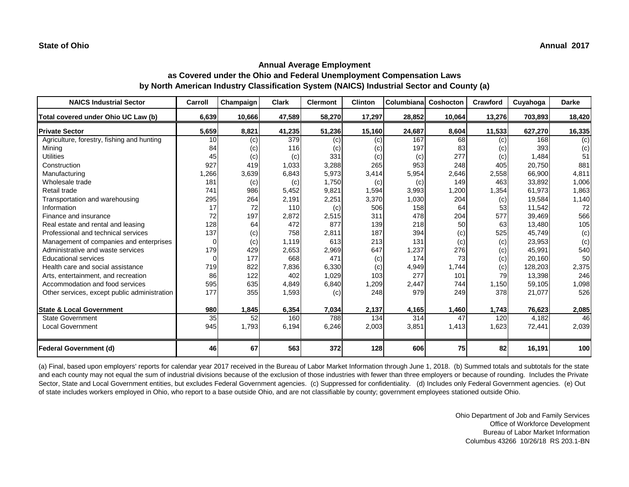| <b>NAICS Industrial Sector</b>               | Carroll | Champaign | <b>Clark</b> | <b>Clermont</b> | <b>Clinton</b> | Columbiana | Coshocton | <b>Crawford</b> | Cuyahoga | <b>Darke</b> |
|----------------------------------------------|---------|-----------|--------------|-----------------|----------------|------------|-----------|-----------------|----------|--------------|
| Total covered under Ohio UC Law (b)          | 6,639   | 10,666    | 47,589       | 58,270          | 17,297         | 28,852     | 10,064    | 13,276          | 703,893  | 18,420       |
| <b>Private Sector</b>                        | 5,659   | 8,821     | 41,235       | 51,236          | 15,160         | 24,687     | 8,604     | 11,533          | 627,270  | 16,335       |
| Agriculture, forestry, fishing and hunting   | 10      | (c)       | 379          | (c)             | (c)            | 167        | 68        | (c)             | 168      | (c)          |
| Mining                                       | 84      | (c)       | 116          | (c)             | (c)            | 197        | 83        | (c)             | 393      | (c)          |
| <b>Utilities</b>                             | 45      | (c)       | (c)          | 331             | (c)            | (c)        | 277       | (c)             | 1,484    | 51           |
| Construction                                 | 927     | 419       | 1,033        | 3,288           | 265            | 953        | 248       | 405             | 20,750   | 881          |
| Manufacturing                                | ,266    | 3,639     | 6,843        | 5,973           | 3,414          | 5,954      | 2,646     | 2,558           | 66,900   | 4,811        |
| Wholesale trade                              | 181     | (c)       | (c)          | 1,750           | (c)            | (c)        | 149       | 463             | 33,892   | 1,006        |
| Retail trade                                 | 741     | 986       | 5,452        | 9,821           | 1,594          | 3,993      | 1,200     | 1,354           | 61,973   | 1,863        |
| Transportation and warehousing               | 295     | 264       | 2,191        | 2,251           | 3,370          | 1,030      | 204       | (c)             | 19,584   | 1,140        |
| Information                                  | 17      | 72        | 110          | (c)             | 506            | 158        | 64        | 53              | 11,542   | 72           |
| Finance and insurance                        | 72      | 197       | 2,872        | 2,515           | 311            | 478        | 204       | 577             | 39,469   | 566          |
| Real estate and rental and leasing           | 128     | 64        | 472          | 877             | 139            | 218        | 50        | 63              | 13,480   | 105          |
| Professional and technical services          | 137     | (c)       | 758          | 2,811           | 187            | 394        | (c)       | 525             | 45,749   | (c)          |
| Management of companies and enterprises      | 0       | (c)       | 1,119        | 613             | 213            | 131        | (c)       | (c)             | 23,953   | (c)          |
| Administrative and waste services            | 179     | 429       | 2,653        | 2,969           | 647            | 1,237      | 276       | (c)             | 45,991   | 540          |
| <b>Educational services</b>                  | 0       | 177       | 668          | 471             | (c)            | 174        | 73        | (c)             | 20,160   | 50           |
| Health care and social assistance            | 719     | 822       | 7,836        | 6,330           | (c)            | 4,949      | 1,744     | (c)             | 128,203  | 2,375        |
| Arts, entertainment, and recreation          | 86      | 122       | 402          | 1,029           | 103            | 277        | 101       | 79              | 13,398   | 246          |
| Accommodation and food services              | 595     | 635       | 4,849        | 6,840           | 1,209          | 2,447      | 744       | 1,150           | 59,105   | 1,098        |
| Other services, except public administration | 177     | 355       | 1,593        | (c)             | 248            | 979        | 249       | 378             | 21,077   | 526          |
| <b>State &amp; Local Government</b>          | 980     | 1,845     | 6,354        | 7,034           | 2,137          | 4,165      | 1,460     | 1,743           | 76,623   | 2,085        |
| <b>State Government</b>                      | 35      | 52        | 160          | 788             | 134            | 314        | 47        | 120             | 4,182    | 46           |
| <b>Local Government</b>                      | 945     | 1,793     | 6,194        | 6,246           | 2,003          | 3,851      | 1,413     | 1,623           | 72,441   | 2,039        |
| <b>Federal Government (d)</b>                | 46      | 67        | 563          | 372             | 128            | 606        | 75        | 82              | 16,191   | 100          |

(a) Final, based upon employers' reports for calendar year 2017 received in the Bureau of Labor Market Information through June 1, 2018. (b) Summed totals and subtotals for the state and each county may not equal the sum of industrial divisions because of the exclusion of those industries with fewer than three employers or because of rounding. Includes the Private Sector, State and Local Government entities, but excludes Federal Government agencies. (c) Suppressed for confidentiality. (d) Includes only Federal Government agencies. (e) Out of state includes workers employed in Ohio, who report to a base outside Ohio, and are not classifiable by county; government employees stationed outside Ohio.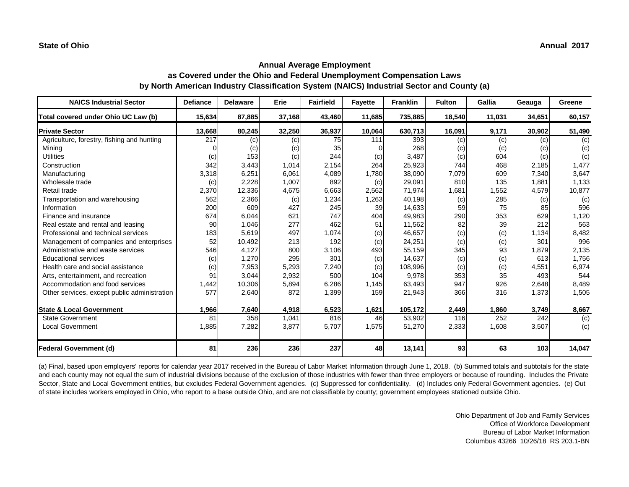| <b>NAICS Industrial Sector</b>               | <b>Defiance</b> | <b>Delaware</b> | <b>Erie</b> | <b>Fairfield</b> | <b>Fayette</b> | <b>Franklin</b> | <b>Fulton</b> | Gallia | Geauga | Greene |
|----------------------------------------------|-----------------|-----------------|-------------|------------------|----------------|-----------------|---------------|--------|--------|--------|
| Total covered under Ohio UC Law (b)          | 15,634          | 87,885          | 37,168      | 43,460           | 11,685         | 735,885         | 18,540        | 11,031 | 34,651 | 60,157 |
| <b>Private Sector</b>                        | 13,668          | 80,245          | 32,250      | 36,937           | 10,064         | 630,713         | 16,091        | 9,171  | 30,902 | 51,490 |
| Agriculture, forestry, fishing and hunting   | 217             | (c)             | (c)         | 75               | 111            | 393             | (c)           | (c)    | (c)    | (c)    |
| Mining                                       |                 | (c)             | (c)         | 35               |                | 268             | (c)           | (c)    | (c)    | (c)    |
| <b>Utilities</b>                             | (c)             | 153             | (c)         | 244              | (c)            | 3,487           | (c)           | 604    | (c)    | (c)    |
| Construction                                 | 342             | 3,443           | 1,014       | 2,154            | 264            | 25,923          | 744           | 468    | 2,185  | 1,477  |
| Manufacturing                                | 3,318           | 6,251           | 6,061       | 4,089            | 1,780          | 38,090          | 7,079         | 609    | 7,340  | 3,647  |
| Wholesale trade                              | (c)             | 2,228           | 1,007       | 892              | (c)            | 29,091          | 810           | 135    | 1,881  | 1,133  |
| Retail trade                                 | 2,370           | 12,336          | 4,675       | 6,663            | 2,562          | 71,974          | 1,681         | 1,552  | 4,579  | 10,877 |
| Transportation and warehousing               | 562             | 2,366           | (c)         | 1,234            | 1,263          | 40,198          | (c)           | 285    | (c)    | (c)    |
| Information                                  | 200             | 609             | 427         | 245              | 39             | 14,633          | 59            | 75     | 85     | 596    |
| Finance and insurance                        | 674             | 6,044           | 621         | 747              | 404            | 49,983          | 290           | 353    | 629    | 1,120  |
| Real estate and rental and leasing           | 90              | 1,046           | 277         | 462              | 51             | 11,562          | 82            | 39     | 212    | 563    |
| Professional and technical services          | 183             | 5,619           | 497         | 1,074            | (c)            | 46,657          | (c)           | (c)    | 1,134  | 8,482  |
| Management of companies and enterprises      | 52              | 10,492          | 213         | 192              | (c)            | 24,251          | (c)           | (c)    | 301    | 996    |
| Administrative and waste services            | 546             | 4,127           | 800         | 3,106            | 493            | 55,159          | 345           | 93     | 1,879  | 2,135  |
| <b>Educational services</b>                  | (c)             | 1,270           | 295         | 301              | (c)            | 14,637          | (c)           | (c)    | 613    | 1,756  |
| Health care and social assistance            | (c)             | 7,953           | 5,293       | 7,240            | (c)            | 108,996         | (c)           | (c)    | 4,551  | 6,974  |
| Arts, entertainment, and recreation          | 91              | 3,044           | 2,932       | 500              | 104            | 9,978           | 353           | 35     | 493    | 544    |
| Accommodation and food services              | 1,442           | 10,306          | 5,894       | 6,286            | 1,145          | 63,493          | 947           | 926    | 2,648  | 8,489  |
| Other services, except public administration | 577             | 2,640           | 872         | 1,399            | 159            | 21,943          | 366           | 316    | 1,373  | 1,505  |
| <b>State &amp; Local Government</b>          | 1,966           | 7,640           | 4,918       | 6,523            | 1,621          | 105,172         | 2,449         | 1,860  | 3,749  | 8,667  |
| <b>State Government</b>                      | 81              | 358             | 1,041       | 816              | 46             | 53,902          | 116           | 252    | 242    | (c)    |
| <b>Local Government</b>                      | 1,885           | 7,282           | 3,877       | 5,707            | 1,575          | 51,270          | 2,333         | 1,608  | 3,507  | (c)    |
| <b>Federal Government (d)</b>                | 81              | 236             | 236         | 237              | 48             | 13,141          | 93            | 63     | 103    | 14,047 |

(a) Final, based upon employers' reports for calendar year 2017 received in the Bureau of Labor Market Information through June 1, 2018. (b) Summed totals and subtotals for the state and each county may not equal the sum of industrial divisions because of the exclusion of those industries with fewer than three employers or because of rounding. Includes the Private Sector, State and Local Government entities, but excludes Federal Government agencies. (c) Suppressed for confidentiality. (d) Includes only Federal Government agencies. (e) Out of state includes workers employed in Ohio, who report to a base outside Ohio, and are not classifiable by county; government employees stationed outside Ohio.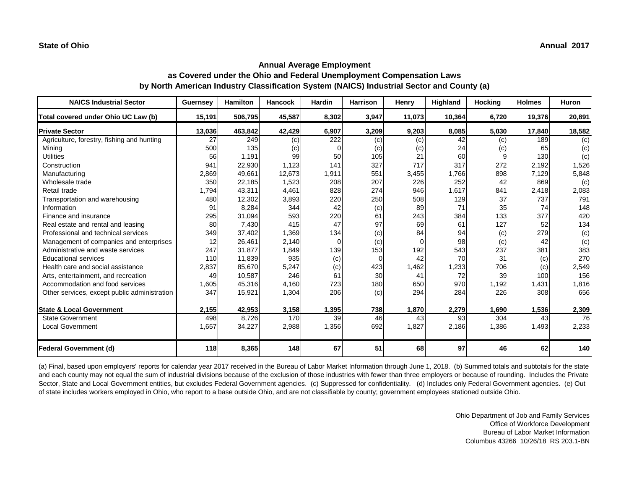| <b>NAICS Industrial Sector</b>               | <b>Guernsey</b> | <b>Hamilton</b> | <b>Hancock</b> | <b>Hardin</b> | <b>Harrison</b> | <b>Henry</b> | Highland | <b>Hocking</b> | <b>Holmes</b> | Huron  |
|----------------------------------------------|-----------------|-----------------|----------------|---------------|-----------------|--------------|----------|----------------|---------------|--------|
| Total covered under Ohio UC Law (b)          | 15,191          | 506,795         | 45,587         | 8,302         | 3,947           | 11,073       | 10,364   | 6,720          | 19,376        | 20,891 |
| <b>Private Sector</b>                        | 13,036          | 463,842         | 42,429         | 6,907         | 3,209           | 9,203        | 8,085    | 5,030          | 17,840        | 18,582 |
| Agriculture, forestry, fishing and hunting   | 27              | 249             | (c)            | 222           | (c)             | (c)          | 42       | (c)            | 189           | (c)    |
| Mining                                       | 500             | 135             | (c)            | $\Omega$      | (c)             | (c)          | 24       | (c)            | 65            | (c)    |
| <b>Utilities</b>                             | 56              | 1,191           | 99             | 50            | 105             | 21           | 60       | 9              | 130           | (c)    |
| Construction                                 | 941             | 22,930          | 1,123          | 141           | 327             | 717          | 317      | 272            | 2,192         | 1,526  |
| Manufacturing                                | 2,869           | 49,661          | 12,673         | 1,911         | 551             | 3,455        | 1,766    | 898            | 7,129         | 5,848  |
| Wholesale trade                              | 350             | 22,185          | 1,523          | 208           | 207             | 226          | 252      | 42             | 869           | (c)    |
| Retail trade                                 | 1,794           | 43,311          | 4,461          | 828           | 274             | 946          | 1,617    | 841            | 2,418         | 2,083  |
| Transportation and warehousing               | 480             | 12,302          | 3,893          | 220           | 250             | 508          | 129      | 37             | 737           | 791    |
| Information                                  | 91              | 8,284           | 344            | 42            | (c)             | 89           | 71       | 35             | 74            | 148    |
| Finance and insurance                        | 295             | 31,094          | 593            | 220           | 61              | 243          | 384      | 133            | 377           | 420    |
| Real estate and rental and leasing           | 80              | 7,430           | 415            | 47            | 97              | 69           | 61       | 127            | 52            | 134    |
| Professional and technical services          | 349             | 37,402          | 1,369          | 134           | (c)             | 84           | 94       | (c)            | 279           | (c)    |
| Management of companies and enterprises      | 12              | 26,461          | 2,140          | 0             | (c)             |              | 98       | (c)            | 42            | (c)    |
| Administrative and waste services            | 247             | 31,877          | 1,849          | 139           | 153             | 192          | 543      | 237            | 381           | 383    |
| <b>Educational services</b>                  | 110             | 11,839          | 935            | (c)           | $\Omega$        | 42           | 70       | 31             | (c)           | 270    |
| Health care and social assistance            | 2,837           | 85,670          | 5,247          | (c)           | 423             | 1,462        | 1,233    | 706            | (c)           | 2,549  |
| Arts, entertainment, and recreation          | 49              | 10,587          | 246            | 61            | 30              | 41           | 72       | 39             | 100           | 156    |
| Accommodation and food services              | 1,605           | 45,316          | 4,160          | 723           | 180             | 650          | 970      | 1,192          | 1,431         | 1,816  |
| Other services, except public administration | 347             | 15,921          | 1,304          | 206           | (c)             | 294          | 284      | 226            | 308           | 656    |
| <b>State &amp; Local Government</b>          | 2,155           | 42,953          | 3,158          | 1,395         | 738             | 1,870        | 2,279    | 1,690          | 1,536         | 2,309  |
| <b>State Government</b>                      | 498             | 8,726           | 170            | 39            | 46              | 43           | 93       | 304            | 43            | 76     |
| <b>Local Government</b>                      | 1,657           | 34,227          | 2,988          | 1,356         | 692             | 1,827        | 2,186    | 1,386          | 1,493         | 2,233  |
| <b>Federal Government (d)</b>                | 118             | 8,365           | 148            | 67            | 51              | 68           | 97       | 46             | 62            | 140    |

(a) Final, based upon employers' reports for calendar year 2017 received in the Bureau of Labor Market Information through June 1, 2018. (b) Summed totals and subtotals for the state and each county may not equal the sum of industrial divisions because of the exclusion of those industries with fewer than three employers or because of rounding. Includes the Private Sector, State and Local Government entities, but excludes Federal Government agencies. (c) Suppressed for confidentiality. (d) Includes only Federal Government agencies. (e) Out of state includes workers employed in Ohio, who report to a base outside Ohio, and are not classifiable by county; government employees stationed outside Ohio.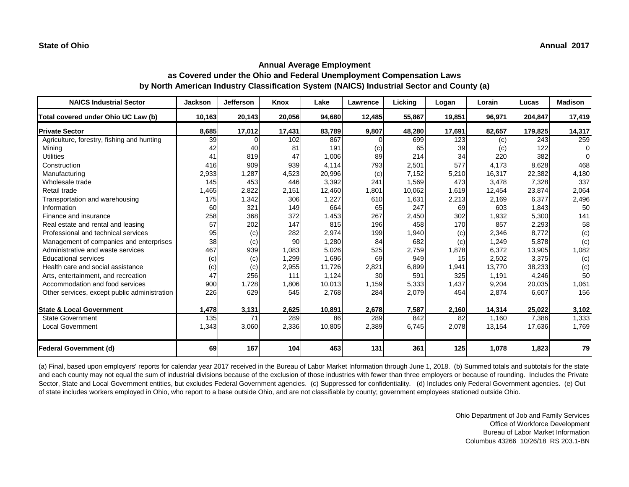| <b>NAICS Industrial Sector</b>               | <b>Jackson</b> | <b>Jefferson</b> | Knox   | Lake   | Lawrence | Licking | Logan  | Lorain | Lucas   | <b>Madison</b> |
|----------------------------------------------|----------------|------------------|--------|--------|----------|---------|--------|--------|---------|----------------|
| Total covered under Ohio UC Law (b)          | 10,163         | 20,143           | 20,056 | 94,680 | 12,485   | 55,867  | 19,851 | 96,971 | 204,847 | 17,419         |
| <b>Private Sector</b>                        | 8,685          | 17,012           | 17,431 | 83,789 | 9,807    | 48,280  | 17,691 | 82,657 | 179,825 | 14,317         |
| Agriculture, forestry, fishing and hunting   | 39             | ი                | 102    | 867    | $\Omega$ | 699     | 123    | (c)    | 243     | 259            |
| Mining                                       | 42             | 40               | 81     | 191    | (c)      | 65      | 39     | (c)    | 122     | $\Omega$       |
| <b>Utilities</b>                             | 41             | 819              | 47     | 1,006  | 89       | 214     | 34     | 220    | 382     |                |
| Construction                                 | 416            | 909              | 939    | 4,114  | 793      | 2,501   | 577    | 4,173  | 8,628   | 468            |
| Manufacturing                                | 2,933          | 1,287            | 4,523  | 20,996 | (c)      | 7,152   | 5,210  | 16,317 | 22,382  | 4,180          |
| Wholesale trade                              | 145            | 453              | 446    | 3,392  | 241      | 1,569   | 473    | 3,478  | 7,328   | 337            |
| Retail trade                                 | 1,465          | 2,822            | 2,151  | 12,460 | 1,801    | 10,062  | 1,619  | 12,454 | 23,874  | 2,064          |
| Transportation and warehousing               | 175            | 1,342            | 306    | 1,227  | 610      | 1,631   | 2,213  | 2,169  | 6,377   | 2,496          |
| Information                                  | 60             | 321              | 149    | 664    | 65       | 247     | 69     | 603    | 1,843   | 50             |
| Finance and insurance                        | 258            | 368              | 372    | 1,453  | 267      | 2,450   | 302    | 1,932  | 5,300   | 141            |
| Real estate and rental and leasing           | 57             | 202              | 147    | 815    | 196      | 458     | 170    | 857    | 2,293   | 58             |
| Professional and technical services          | 95             | (c)              | 282    | 2,974  | 199      | 1,940   | (c)    | 2,346  | 8,772   | (c)            |
| Management of companies and enterprises      | 38             | (c)              | 90     | 1,280  | 84       | 682     | (c)    | 1,249  | 5,878   | (c)            |
| Administrative and waste services            | 467            | 939              | 1,083  | 5,026  | 525      | 2,759   | 1,878  | 6,372  | 13,905  | 1,082          |
| <b>Educational services</b>                  | (c)            | (c)              | 1,299  | 1,696  | 69       | 949     | 15     | 2,502  | 3,375   | (c)            |
| Health care and social assistance            | (c)            | (c)              | 2,955  | 11,726 | 2,821    | 6,899   | 1,941  | 13,770 | 38,233  | (c)            |
| Arts, entertainment, and recreation          | 47             | 256              | 111    | 1,124  | 30       | 591     | 325    | 1,191  | 4,246   | 50             |
| Accommodation and food services              | 900            | 1,728            | 1,806  | 10,013 | 1,159    | 5,333   | 1,437  | 9,204  | 20,035  | 1,061          |
| Other services, except public administration | 226            | 629              | 545    | 2,768  | 284      | 2,079   | 454    | 2,874  | 6,607   | 156            |
| <b>State &amp; Local Government</b>          | 1,478          | 3,131            | 2,625  | 10,891 | 2,678    | 7,587   | 2,160  | 14,314 | 25,022  | 3,102          |
| <b>State Government</b>                      | 135            | 71               | 289    | 86     | 289      | 842     | 82     | 1,160  | 7,386   | 1,333          |
| <b>Local Government</b>                      | 1,343          | 3,060            | 2,336  | 10,805 | 2,389    | 6,745   | 2,078  | 13,154 | 17,636  | 1,769          |
| Federal Government (d)                       | 69             | 167              | 104    | 463    | 131      | 361     | 125    | 1,078  | 1,823   | 79             |

(a) Final, based upon employers' reports for calendar year 2017 received in the Bureau of Labor Market Information through June 1, 2018. (b) Summed totals and subtotals for the state and each county may not equal the sum of industrial divisions because of the exclusion of those industries with fewer than three employers or because of rounding. Includes the Private Sector, State and Local Government entities, but excludes Federal Government agencies. (c) Suppressed for confidentiality. (d) Includes only Federal Government agencies. (e) Out of state includes workers employed in Ohio, who report to a base outside Ohio, and are not classifiable by county; government employees stationed outside Ohio.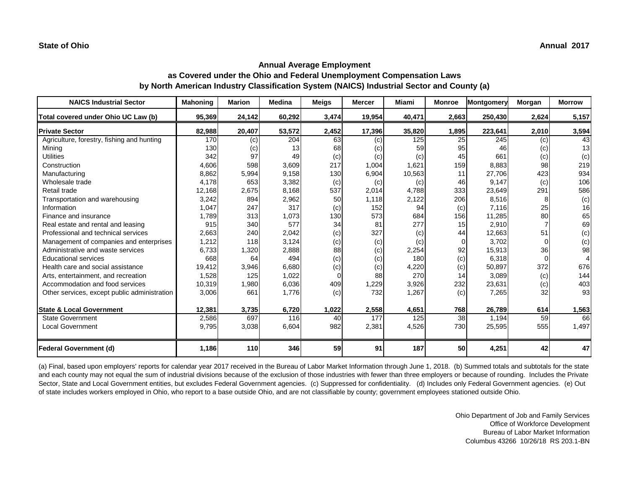| <b>NAICS Industrial Sector</b>               | <b>Mahoning</b> | <b>Marion</b> | <b>Medina</b> | <b>Meigs</b> | <b>Mercer</b> | Miami  | <b>Monroe</b> | Montgomery | Morgan | <b>Morrow</b> |
|----------------------------------------------|-----------------|---------------|---------------|--------------|---------------|--------|---------------|------------|--------|---------------|
| Total covered under Ohio UC Law (b)          | 95,369          | 24,142        | 60,292        | 3,474        | 19,954        | 40,471 | 2,663         | 250,430    | 2,624  | 5,157         |
| <b>Private Sector</b>                        | 82,988          | 20,407        | 53,572        | 2,452        | 17,396        | 35,820 | 1,895         | 223,641    | 2,010  | 3,594         |
| Agriculture, forestry, fishing and hunting   | 170             | (c)           | 204           | 63           | (c)           | 125    | 25            | 245        | (c)    | 43            |
| Mining                                       | 130             | (c)           | 13            | 68           | (c)           | 59     | 95            | 46         | (c)    | 13            |
| <b>Utilities</b>                             | 342             | 97            | 49            | (c)          | (c)           | (c)    | 45            | 661        | (c)    | (c)           |
| Construction                                 | 4,606           | 598           | 3,609         | 217          | 1,004         | 1,621  | 159           | 8,883      | 98     | 219           |
| Manufacturing                                | 8,862           | 5,994         | 9,158         | 130          | 6,904         | 10,563 | 11            | 27,706     | 423    | 934           |
| Wholesale trade                              | 4,178           | 653           | 3,382         | (c)          | (c)           | (c)    | 46            | 9,147      | (c)    | 106           |
| Retail trade                                 | 12,168          | 2,675         | 8,168         | 537          | 2,014         | 4,788  | 333           | 23,649     | 291    | 586           |
| Transportation and warehousing               | 3,242           | 894           | 2,962         | 50           | 1,118         | 2,122  | 206           | 8,516      | 8      | (c)           |
| Information                                  | 1,047           | 247           | 317           | (c)          | 152           | 94     | (c)           | 7,116      | 25     | 16            |
| Finance and insurance                        | 1,789           | 313           | 1,073         | 130          | 573           | 684    | 156           | 11,285     | 80     | 65            |
| Real estate and rental and leasing           | 915             | 340           | 577           | 34           | 81            | 277    | 15            | 2,910      |        | 69            |
| Professional and technical services          | 2,663           | 240           | 2,042         | (c)          | 327           | (c)    | 44            | 12,663     | 51     | (c)           |
| Management of companies and enterprises      | 1,212           | 118           | 3,124         | (c)          | (c)           | (c)    | 0             | 3,702      |        | (c)           |
| Administrative and waste services            | 6,733           | 1,320         | 2,888         | 88           | (c)           | 2,254  | 92            | 15,913     | 36     | 98            |
| <b>Educational services</b>                  | 668             | 64            | 494           | (c)          | (c)           | 180    | (c)           | 6,318      | 0      |               |
| Health care and social assistance            | 19,412          | 3,946         | 6,680         | (c)          | (c)           | 4,220  | (c)           | 50,897     | 372    | 676           |
| Arts, entertainment, and recreation          | 1,528           | 125           | 1,022         | 0            | 88            | 270    | 14            | 3,089      | (c)    | 144           |
| Accommodation and food services              | 10,319          | 1,980         | 6,036         | 409          | 1,229         | 3,926  | 232           | 23,631     | (c)    | 403           |
| Other services, except public administration | 3,006           | 661           | 1,776         | (c)          | 732           | 1,267  | (c)           | 7,265      | 32     | 93            |
| <b>State &amp; Local Government</b>          | 12,381          | 3,735         | 6,720         | 1,022        | 2,558         | 4,651  | 768           | 26,789     | 614    | 1,563         |
| <b>State Government</b>                      | 2,586           | 697           | 116           | 40           | 177           | 125    | 38            | 1,194      | 59     | 66            |
| <b>Local Government</b>                      | 9,795           | 3,038         | 6,604         | 982          | 2,381         | 4,526  | 730           | 25,595     | 555    | 1,497         |
| <b>Federal Government (d)</b>                | 1,186           | 110           | 346           | 59           | 91            | 187    | 50            | 4,251      | 42     | 47            |

(a) Final, based upon employers' reports for calendar year 2017 received in the Bureau of Labor Market Information through June 1, 2018. (b) Summed totals and subtotals for the state and each county may not equal the sum of industrial divisions because of the exclusion of those industries with fewer than three employers or because of rounding. Includes the Private Sector, State and Local Government entities, but excludes Federal Government agencies. (c) Suppressed for confidentiality. (d) Includes only Federal Government agencies. (e) Out of state includes workers employed in Ohio, who report to a base outside Ohio, and are not classifiable by county; government employees stationed outside Ohio.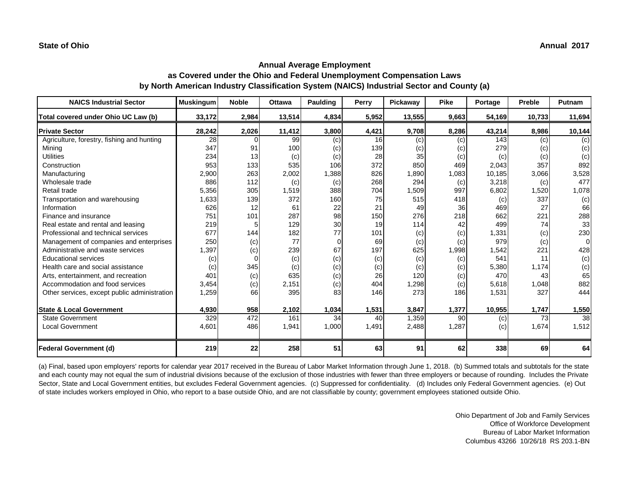| <b>NAICS Industrial Sector</b>               | <b>Muskingum</b> | <b>Noble</b> | <b>Ottawa</b> | Paulding | Perry | <b>Pickaway</b> | <b>Pike</b> | Portage | <b>Preble</b> | Putnam |
|----------------------------------------------|------------------|--------------|---------------|----------|-------|-----------------|-------------|---------|---------------|--------|
| Total covered under Ohio UC Law (b)          | 33,172           | 2,984        | 13,514        | 4,834    | 5,952 | 13,555          | 9,663       | 54,169  | 10,733        | 11,694 |
| <b>Private Sector</b>                        | 28,242           | 2,026        | 11,412        | 3,800    | 4,421 | 9,708           | 8,286       | 43,214  | 8,986         | 10,144 |
| Agriculture, forestry, fishing and hunting   | 28               | O            | 99            | (c)      | 16    | (c)             | (c)         | 143     | (c)           | (c)    |
| Mining                                       | 347              | 91           | 100           | (c)      | 139   | (c)             | (c)         | 279     | (c)           | (c)    |
| <b>Utilities</b>                             | 234              | 13           | (c)           | (c)      | 28    | 35              | (c)         | (c)     | (c)           | (c)    |
| Construction                                 | 953              | 133          | 535           | 106      | 372   | 850             | 469         | 2,043   | 357           | 892    |
| Manufacturing                                | 2,900            | 263          | 2,002         | 1,388    | 826   | 1,890           | 1,083       | 10,185  | 3,066         | 3,528  |
| Wholesale trade                              | 886              | 112          | (c)           | (c)      | 268   | 294             | (c)         | 3,218   | (c)           | 477    |
| Retail trade                                 | 5,356            | 305          | 1,519         | 388      | 704   | 1,509           | 997         | 6,802   | 1,520         | 1,078  |
| Transportation and warehousing               | 1,633            | 139          | 372           | 160      | 75    | 515             | 418         | (c)     | 337           | (c)    |
| Information                                  | 626              | 12           | 61            | 22       | 21    | 49              | 36          | 469     | 27            | 66     |
| Finance and insurance                        | 751              | 101          | 287           | 98       | 150   | 276             | 218         | 662     | 221           | 288    |
| Real estate and rental and leasing           | 219              | 5            | 129           | 30       | 19    | 114             | 42          | 499     | 74            | 33     |
| Professional and technical services          | 677              | 144          | 182           | 77       | 101   | (c)             | (c)         | 1,331   | (c)           | 230    |
| Management of companies and enterprises      | 250              | (c)          | 77            | 0        | 69    | (c)             | (c)         | 979     | (c)           | 0l     |
| Administrative and waste services            | 1,397            | (c)          | 239           | 67       | 197   | 625             | 1,998       | 1,542   | 221           | 428    |
| <b>Educational services</b>                  | (c)              |              | (c)           | (c)      | (c)   | (c)             | (c)         | 541     | 11            | (c)    |
| Health care and social assistance            | (c)              | 345          | (c)           | (c)      | (c)   | (c)             | (c)         | 5,380   | 1,174         | (c)    |
| Arts, entertainment, and recreation          | 401              | (c)          | 635           | (c)      | 26    | 120             | (c)         | 470     | 43            | 65     |
| Accommodation and food services              | 3,454            | (c)          | 2,151         | (c)      | 404   | 1,298           | (c)         | 5,618   | 1,048         | 882    |
| Other services, except public administration | 1,259            | 66           | 395           | 83       | 146   | 273             | 186         | 1,531   | 327           | 444    |
| <b>State &amp; Local Government</b>          | 4,930            | 958          | 2,102         | 1,034    | 1,531 | 3,847           | 1,377       | 10,955  | 1,747         | 1,550  |
| <b>State Government</b>                      | 329              | 472          | 161           | 34       | 40    | 1,359           | 90          | (c)     | 73            | 38     |
| <b>Local Government</b>                      | 4,601            | 486          | 1,941         | 1,000    | 1,491 | 2,488           | 1,287       | (c)     | 1,674         | 1,512  |
| <b>Federal Government (d)</b>                | 219              | 22           | 258           | 51       | 63    | 91              | 62          | 338     | 69            | 64     |

(a) Final, based upon employers' reports for calendar year 2017 received in the Bureau of Labor Market Information through June 1, 2018. (b) Summed totals and subtotals for the state and each county may not equal the sum of industrial divisions because of the exclusion of those industries with fewer than three employers or because of rounding. Includes the Private Sector, State and Local Government entities, but excludes Federal Government agencies. (c) Suppressed for confidentiality. (d) Includes only Federal Government agencies. (e) Out of state includes workers employed in Ohio, who report to a base outside Ohio, and are not classifiable by county; government employees stationed outside Ohio.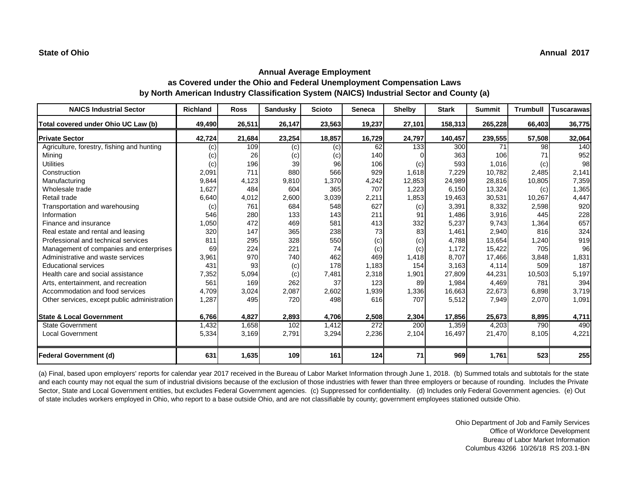| <b>NAICS Industrial Sector</b>               | <b>Richland</b> | <b>Ross</b> | <b>Sandusky</b> | <b>Scioto</b> | <b>Seneca</b> | <b>Shelby</b> | <b>Stark</b> | <b>Summit</b> | <b>Trumbull</b> | <b>Tuscarawas</b> |
|----------------------------------------------|-----------------|-------------|-----------------|---------------|---------------|---------------|--------------|---------------|-----------------|-------------------|
| Total covered under Ohio UC Law (b)          | 49,490          | 26,511      | 26,147          | 23,563        | 19,237        | 27,101        | 158,313      | 265,228       | 66,403          | 36,775            |
| <b>Private Sector</b>                        | 42,724          | 21,684      | 23,254          | 18,857        | 16,729        | 24,797        | 140,457      | 239,555       | 57,508          | 32,064            |
| Agriculture, forestry, fishing and hunting   | (c)             | 109         | (c)             | (c)           | 62            | 133           | 300          | 71            | 98              | 140               |
| Mining                                       | (c)             | 26          | (c)             | (c)           | 140           |               | 363          | 106           | 71              | 952               |
| <b>Utilities</b>                             | (c)             | 196         | 39              | 96            | 106           | (c)           | 593          | 1,016         | (c)             | 98                |
| Construction                                 | 2,091           | 711         | 880             | 566           | 929           | 1,618         | 7,229        | 10,782        | 2,485           | 2,141             |
| Manufacturing                                | 9,844           | 4,123       | 9,810           | 1,370         | 4,242         | 12,853        | 24,989       | 28,816        | 10,805          | 7,359             |
| Wholesale trade                              | 1,627           | 484         | 604             | 365           | 707           | 1,223         | 6,150        | 13,324        | (c)             | 1,365             |
| Retail trade                                 | 6,640           | 4,012       | 2,600           | 3,039         | 2,211         | 1,853         | 19,463       | 30,531        | 10,267          | 4,447             |
| Transportation and warehousing               | (c)             | 761         | 684             | 548           | 627           | (c)           | 3,391        | 8,332         | 2,598           | 920               |
| Information                                  | 546             | 280         | 133             | 143           | 211           | 91            | 1,486        | 3,916         | 445             | 228               |
| Finance and insurance                        | ,050            | 472         | 469             | 581           | 413           | 332           | 5,237        | 9,743         | 1,364           | 657               |
| Real estate and rental and leasing           | 320             | 147         | 365             | 238           | 73            | 83            | 1,461        | 2,940         | 816             | 324               |
| Professional and technical services          | 811             | 295         | 328             | 550           | (c)           | (c)           | 4,788        | 13,654        | 1,240           | 919               |
| Management of companies and enterprises      | 69              | 224         | 221             | 74            | (c)           | (c)           | 1,172        | 15,422        | 705             | 96                |
| Administrative and waste services            | 3,961           | 970         | 740             | 462           | 469           | 1,418         | 8,707        | 17,466        | 3,848           | 1,831             |
| <b>Educational services</b>                  | 431             | 93          | (c)             | 178           | 1,183         | 154           | 3,163        | 4,114         | 509             | 187               |
| Health care and social assistance            | 7,352           | 5,094       | (c)             | 7,481         | 2,318         | 1,901         | 27,809       | 44,231        | 10,503          | 5,197             |
| Arts, entertainment, and recreation          | 561             | 169         | 262             | 37            | 123           | 89            | 1,984        | 4,469         | 781             | 394               |
| Accommodation and food services              | 4,709           | 3,024       | 2,087           | 2,602         | 1,939         | 1,336         | 16,663       | 22,673        | 6,898           | 3,719             |
| Other services, except public administration | 1,287           | 495         | 720             | 498           | 616           | 707           | 5,512        | 7,949         | 2,070           | 1,091             |
| <b>State &amp; Local Government</b>          | 6,766           | 4,827       | 2,893           | 4,706         | 2,508         | 2,304         | 17,856       | 25,673        | 8,895           | 4,711             |
| <b>State Government</b>                      | 1,432           | 1,658       | 102             | 1,412         | 272           | 200           | 1,359        | 4,203         | 790             | 490               |
| Local Government                             | 5,334           | 3,169       | 2,791           | 3,294         | 2,236         | 2,104         | 16,497       | 21,470        | 8,105           | 4,221             |
| <b>Federal Government (d)</b>                | 631             | 1,635       | 109             | 161           | 124           | 71            | 969          | 1,761         | 523             | 255               |

(a) Final, based upon employers' reports for calendar year 2017 received in the Bureau of Labor Market Information through June 1, 2018. (b) Summed totals and subtotals for the state and each county may not equal the sum of industrial divisions because of the exclusion of those industries with fewer than three employers or because of rounding. Includes the Private Sector, State and Local Government entities, but excludes Federal Government agencies. (c) Suppressed for confidentiality. (d) Includes only Federal Government agencies. (e) Out of state includes workers employed in Ohio, who report to a base outside Ohio, and are not classifiable by county; government employees stationed outside Ohio.